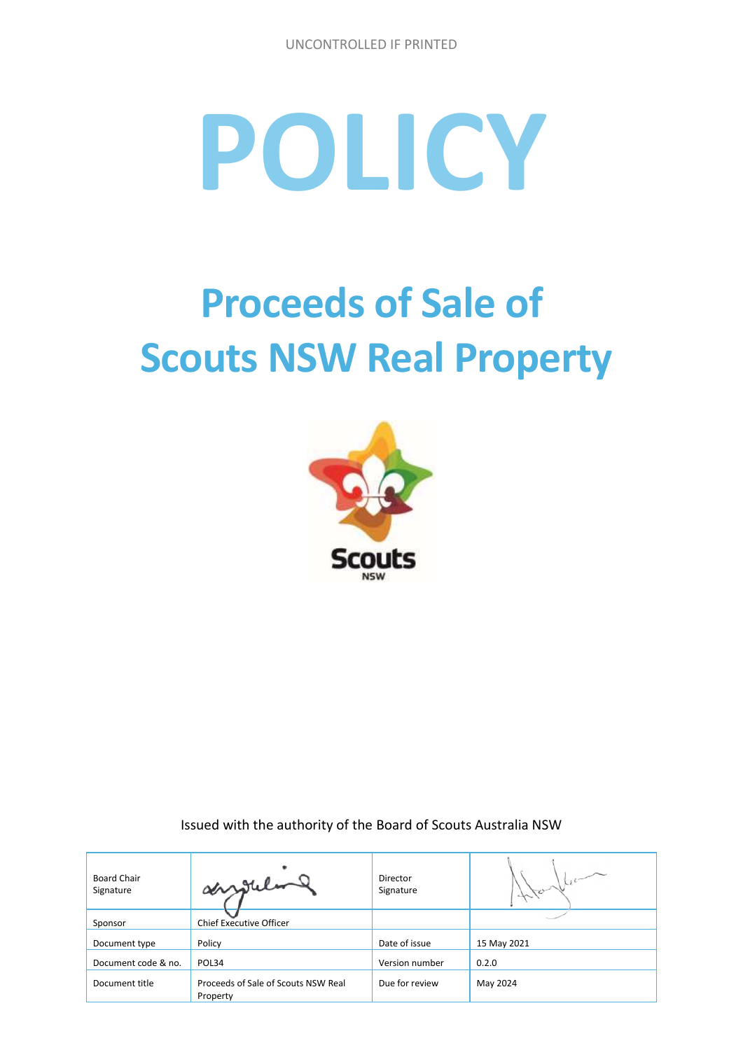# **POLICY**

# **Proceeds of Sale of Scouts NSW Real Property**



Issued with the authority of the Board of Scouts Australia NSW

| <b>Board Chair</b><br>Signature | angular                                         | Director<br>Signature | stor        |
|---------------------------------|-------------------------------------------------|-----------------------|-------------|
| Sponsor                         | Chief Executive Officer                         |                       |             |
| Document type                   | Policy                                          | Date of issue         | 15 May 2021 |
| Document code & no.             | POL34                                           | Version number        | 0.2.0       |
| Document title                  | Proceeds of Sale of Scouts NSW Real<br>Property | Due for review        | May 2024    |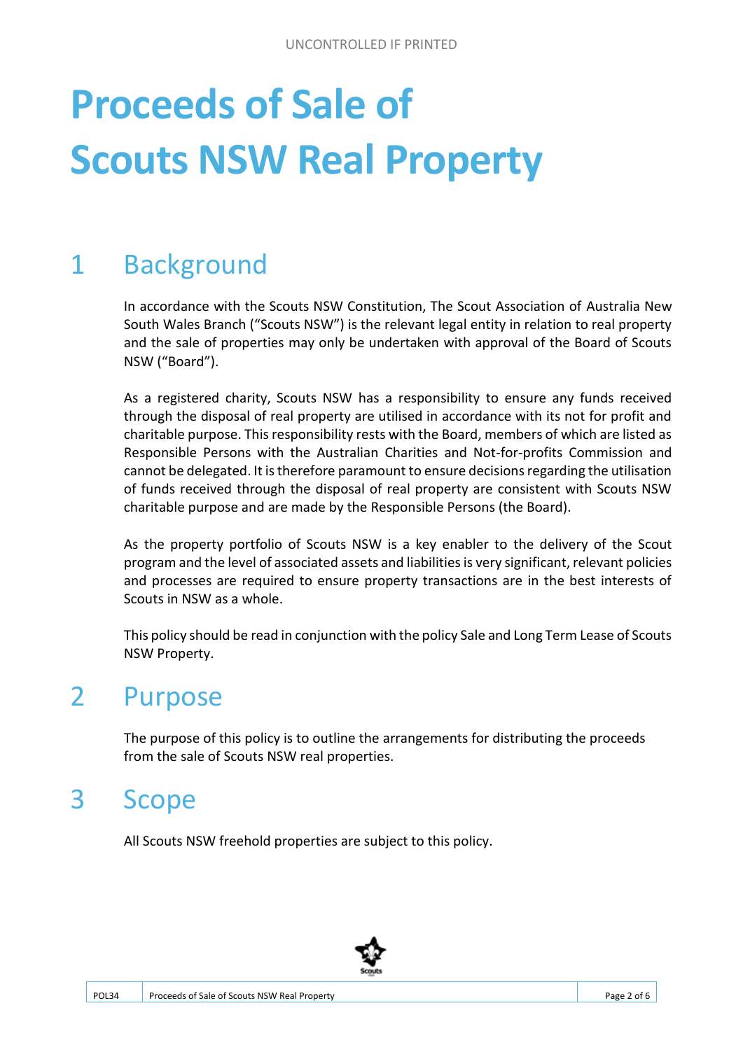# **Proceeds of Sale of Scouts NSW Real Property**

## 1 Background

In accordance with the Scouts NSW Constitution, The Scout Association of Australia New South Wales Branch ("Scouts NSW") is the relevant legal entity in relation to real property and the sale of properties may only be undertaken with approval of the Board of Scouts NSW ("Board").

As a registered charity, Scouts NSW has a responsibility to ensure any funds received through the disposal of real property are utilised in accordance with its not for profit and charitable purpose. This responsibility rests with the Board, members of which are listed as Responsible Persons with the Australian Charities and Not-for-profits Commission and cannot be delegated. It is therefore paramount to ensure decisions regarding the utilisation of funds received through the disposal of real property are consistent with Scouts NSW charitable purpose and are made by the Responsible Persons (the Board).

As the property portfolio of Scouts NSW is a key enabler to the delivery of the Scout program and the level of associated assets and liabilities is very significant, relevant policies and processes are required to ensure property transactions are in the best interests of Scouts in NSW as a whole.

This policy should be read in conjunction with the policy Sale and Long Term Lease of Scouts NSW Property.

#### 2 Purpose

The purpose of this policy is to outline the arrangements for distributing the proceeds from the sale of Scouts NSW real properties.

#### 3 Scope

All Scouts NSW freehold properties are subject to this policy.

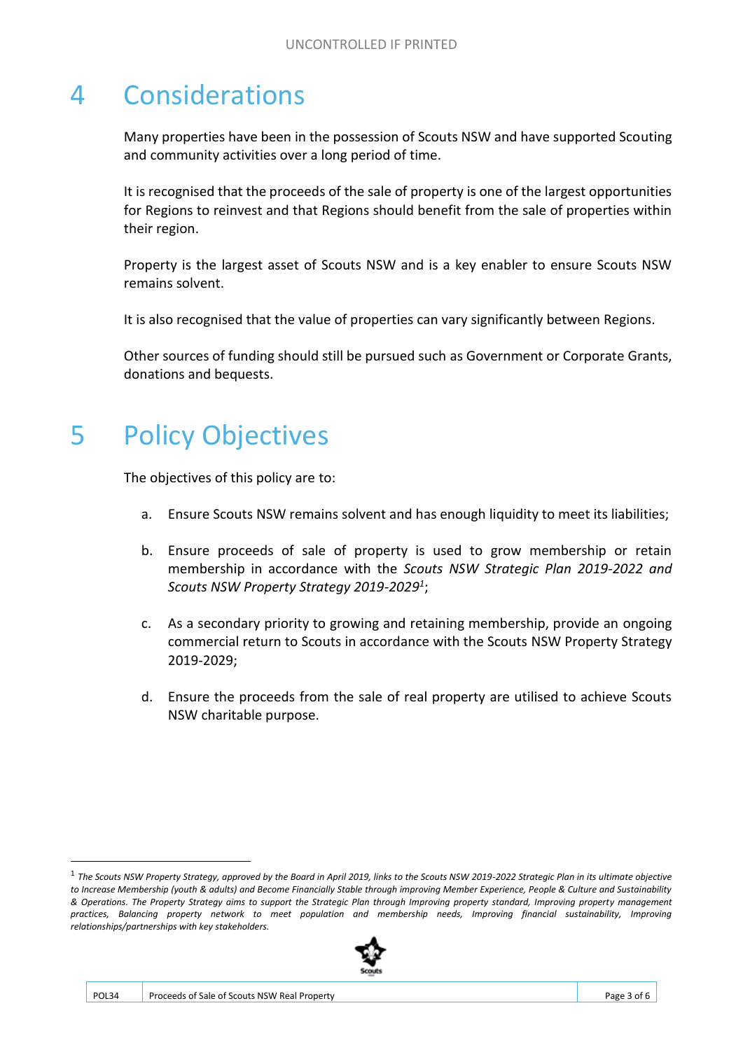#### 4 Considerations

Many properties have been in the possession of Scouts NSW and have supported Scouting and community activities over a long period of time.

It is recognised that the proceeds of the sale of property is one of the largest opportunities for Regions to reinvest and that Regions should benefit from the sale of properties within their region.

Property is the largest asset of Scouts NSW and is a key enabler to ensure Scouts NSW remains solvent.

It is also recognised that the value of properties can vary significantly between Regions.

Other sources of funding should still be pursued such as Government or Corporate Grants, donations and bequests.

#### 5 Policy Objectives

The objectives of this policy are to:

- a. Ensure Scouts NSW remains solvent and has enough liquidity to meet its liabilities;
- b. Ensure proceeds of sale of property is used to grow membership or retain membership in accordance with the *Scouts NSW Strategic Plan 2019-2022 and Scouts NSW Property Strategy 2019-2029<sup>1</sup>* ;
- c. As a secondary priority to growing and retaining membership, provide an ongoing commercial return to Scouts in accordance with the Scouts NSW Property Strategy 2019-2029;
- d. Ensure the proceeds from the sale of real property are utilised to achieve Scouts NSW charitable purpose.

<sup>1</sup> *The Scouts NSW Property Strategy, approved by the Board in April 2019, links to the Scouts NSW 2019-2022 Strategic Plan in its ultimate objective to Increase Membership (youth & adults) and Become Financially Stable through improving Member Experience, People & Culture and Sustainability & Operations. The Property Strategy aims to support the Strategic Plan through Improving property standard, Improving property management practices, Balancing property network to meet population and membership needs, Improving financial sustainability, Improving relationships/partnerships with key stakeholders.*



.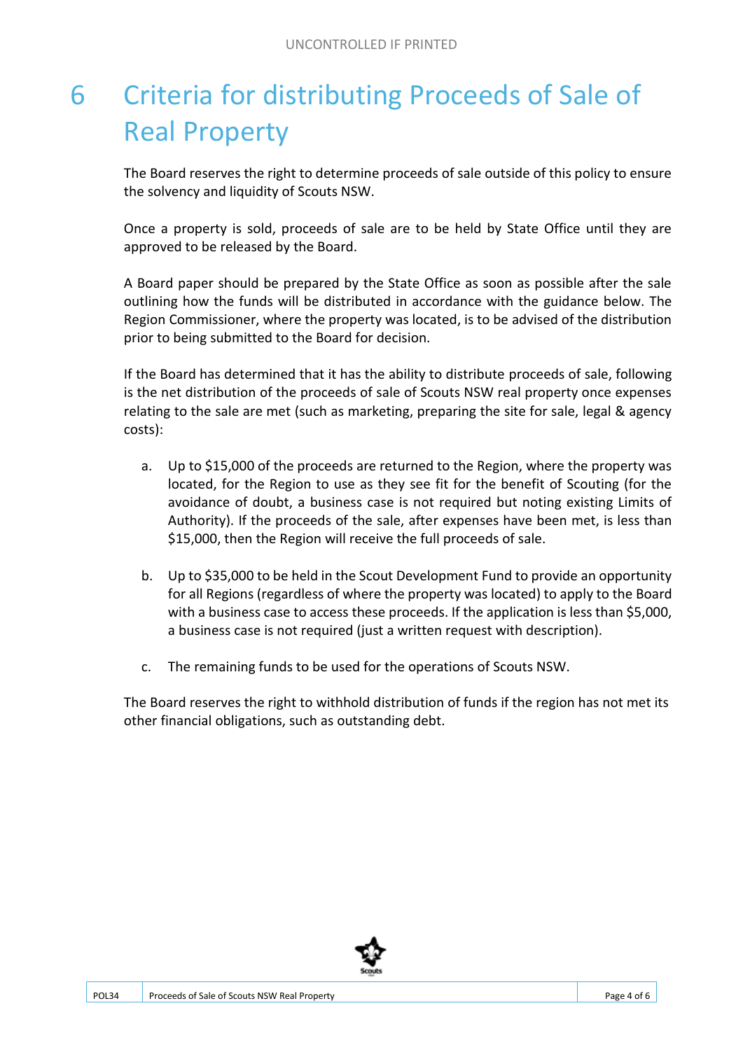## 6 Criteria for distributing Proceeds of Sale of Real Property

The Board reserves the right to determine proceeds of sale outside of this policy to ensure the solvency and liquidity of Scouts NSW.

Once a property is sold, proceeds of sale are to be held by State Office until they are approved to be released by the Board.

A Board paper should be prepared by the State Office as soon as possible after the sale outlining how the funds will be distributed in accordance with the guidance below. The Region Commissioner, where the property was located, is to be advised of the distribution prior to being submitted to the Board for decision.

If the Board has determined that it has the ability to distribute proceeds of sale, following is the net distribution of the proceeds of sale of Scouts NSW real property once expenses relating to the sale are met (such as marketing, preparing the site for sale, legal & agency costs):

- a. Up to \$15,000 of the proceeds are returned to the Region, where the property was located, for the Region to use as they see fit for the benefit of Scouting (for the avoidance of doubt, a business case is not required but noting existing Limits of Authority). If the proceeds of the sale, after expenses have been met, is less than \$15,000, then the Region will receive the full proceeds of sale.
- b. Up to \$35,000 to be held in the Scout Development Fund to provide an opportunity for all Regions (regardless of where the property was located) to apply to the Board with a business case to access these proceeds. If the application is less than \$5,000, a business case is not required (just a written request with description).
- c. The remaining funds to be used for the operations of Scouts NSW.

The Board reserves the right to withhold distribution of funds if the region has not met its other financial obligations, such as outstanding debt.

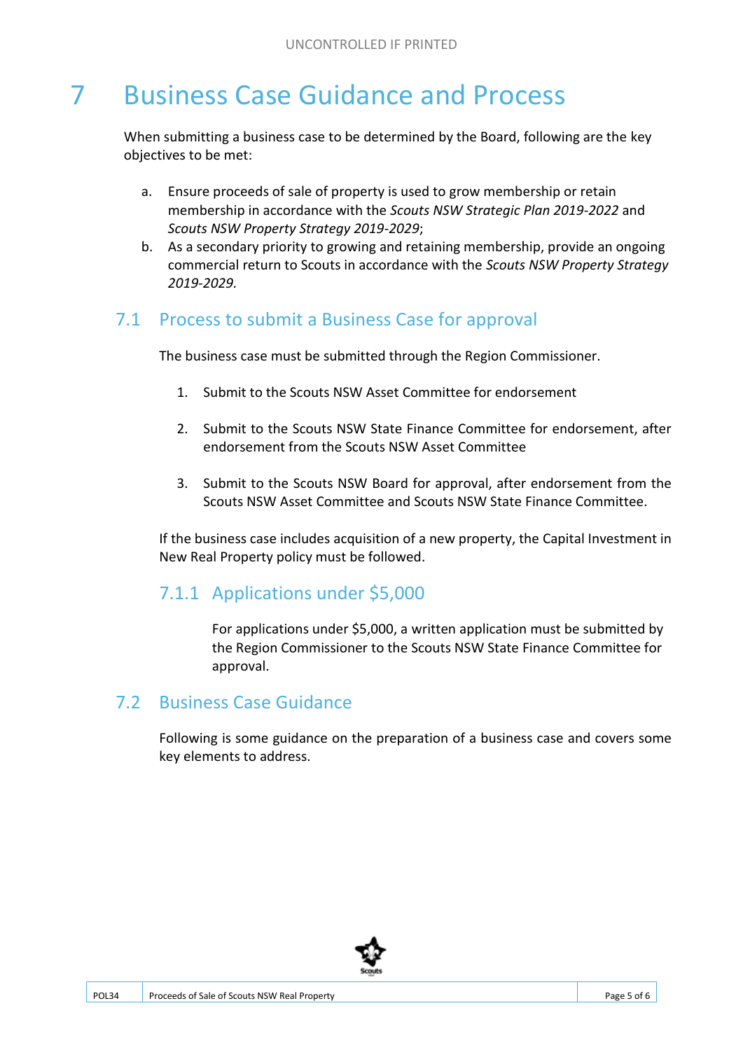### 7 Business Case Guidance and Process

When submitting a business case to be determined by the Board, following are the key objectives to be met:

- a. Ensure proceeds of sale of property is used to grow membership or retain membership in accordance with the *Scouts NSW Strategic Plan 2019-2022* and *Scouts NSW Property Strategy 2019-2029*;
- b. As a secondary priority to growing and retaining membership, provide an ongoing commercial return to Scouts in accordance with the *Scouts NSW Property Strategy 2019-2029.*

#### 7.1 Process to submit a Business Case for approval

The business case must be submitted through the Region Commissioner.

- 1. Submit to the Scouts NSW Asset Committee for endorsement
- 2. Submit to the Scouts NSW State Finance Committee for endorsement, after endorsement from the Scouts NSW Asset Committee
- 3. Submit to the Scouts NSW Board for approval, after endorsement from the Scouts NSW Asset Committee and Scouts NSW State Finance Committee.

If the business case includes acquisition of a new property, the Capital Investment in New Real Property policy must be followed.

#### 7.1.1 Applications under \$5,000

For applications under \$5,000, a written application must be submitted by the Region Commissioner to the Scouts NSW State Finance Committee for approval.

#### 7.2 Business Case Guidance

Following is some guidance on the preparation of a business case and covers some key elements to address.